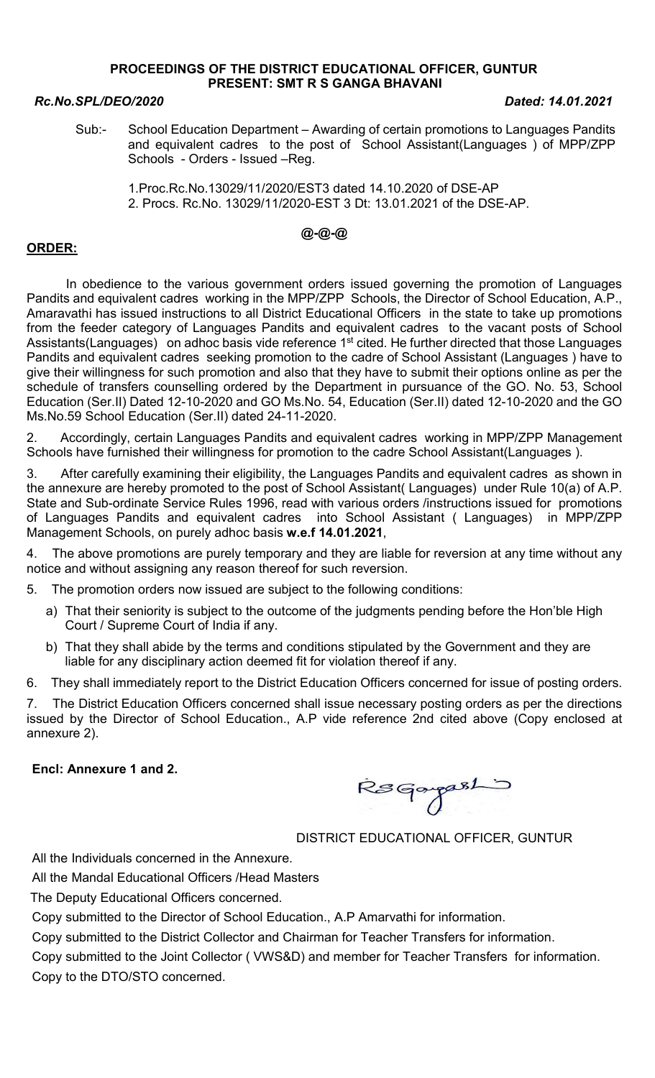### PROCEEDINGS OF THE DISTRICT EDUCATIONAL OFFICER, GUNTUR PRESENT: SMT R S GANGA BHAVANI

### Rc.No.SPL/DEO/2020 Dated: 14.01.2021

Sub:- School Education Department – Awarding of certain promotions to Languages Pandits and equivalent cadres to the post of School Assistant(Languages ) of MPP/ZPP Schools - Orders - Issued –Reg.

 1.Proc.Rc.No.13029/11/2020/EST3 dated 14.10.2020 of DSE-AP 2. Procs. Rc.No. 13029/11/2020-EST 3 Dt: 13.01.2021 of the DSE-AP.

# @-@-@

## ORDER:

 In obedience to the various government orders issued governing the promotion of Languages Pandits and equivalent cadres working in the MPP/ZPP Schools, the Director of School Education, A.P., Amaravathi has issued instructions to all District Educational Officers in the state to take up promotions from the feeder category of Languages Pandits and equivalent cadres to the vacant posts of School Assistants(Languages) on adhoc basis vide reference 1<sup>st</sup> cited. He further directed that those Languages Pandits and equivalent cadres seeking promotion to the cadre of School Assistant (Languages ) have to give their willingness for such promotion and also that they have to submit their options online as per the schedule of transfers counselling ordered by the Department in pursuance of the GO. No. 53, School Education (Ser.II) Dated 12-10-2020 and GO Ms.No. 54, Education (Ser.II) dated 12-10-2020 and the GO Ms.No.59 School Education (Ser.II) dated 24-11-2020.

2. Accordingly, certain Languages Pandits and equivalent cadres working in MPP/ZPP Management Schools have furnished their willingness for promotion to the cadre School Assistant(Languages ).

3. After carefully examining their eligibility, the Languages Pandits and equivalent cadres as shown in the annexure are hereby promoted to the post of School Assistant( Languages) under Rule 10(a) of A.P. State and Sub-ordinate Service Rules 1996, read with various orders /instructions issued for promotions of Languages Pandits and equivalent cadres into School Assistant ( Languages) in MPP/ZPP Management Schools, on purely adhoc basis w.e.f 14.01.2021,

4. The above promotions are purely temporary and they are liable for reversion at any time without any notice and without assigning any reason thereof for such reversion.

5. The promotion orders now issued are subject to the following conditions:

- a) That their seniority is subject to the outcome of the judgments pending before the Hon'ble High Court / Supreme Court of India if any.
- b) That they shall abide by the terms and conditions stipulated by the Government and they are liable for any disciplinary action deemed fit for violation thereof if any.

6. They shall immediately report to the District Education Officers concerned for issue of posting orders.

7. The District Education Officers concerned shall issue necessary posting orders as per the directions issued by the Director of School Education., A.P vide reference 2nd cited above (Copy enclosed at annexure 2).

### Encl: Annexure 1 and 2.

Resgargeshi

DISTRICT EDUCATIONAL OFFICER, GUNTUR

All the Individuals concerned in the Annexure.

All the Mandal Educational Officers /Head Masters

The Deputy Educational Officers concerned.

Copy submitted to the Director of School Education., A.P Amarvathi for information.

Copy submitted to the District Collector and Chairman for Teacher Transfers for information.

Copy submitted to the Joint Collector ( VWS&D) and member for Teacher Transfers for information. Copy to the DTO/STO concerned.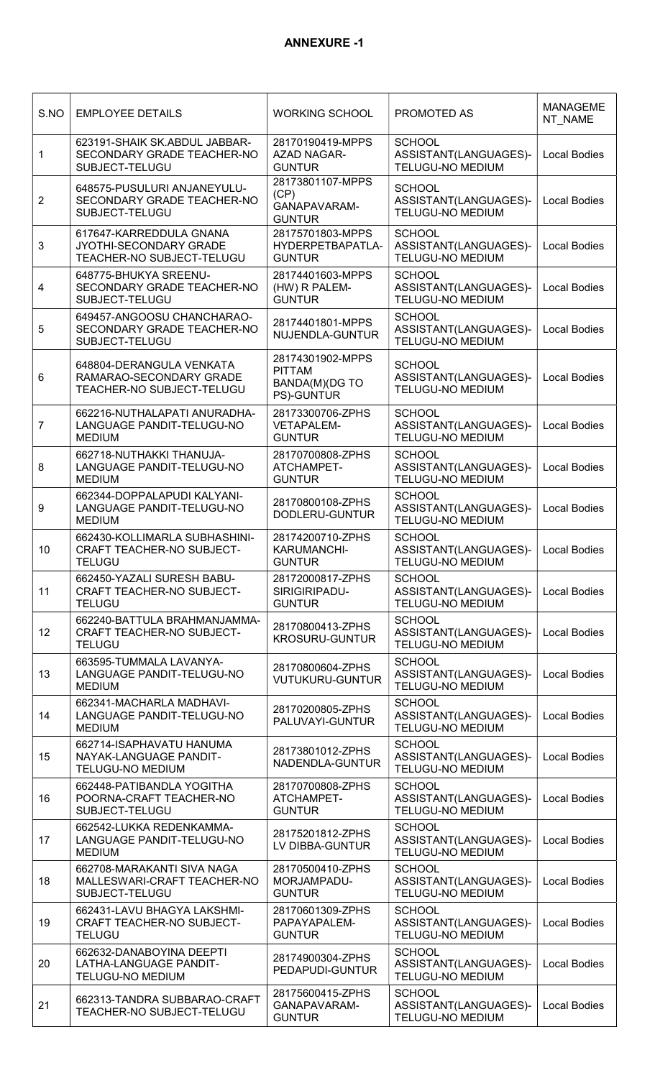| S.NO                    | <b>EMPLOYEE DETAILS</b>                                                            | <b>WORKING SCHOOL</b>                                             | PROMOTED AS                                                       | <b>MANAGEME</b><br>NT NAME |
|-------------------------|------------------------------------------------------------------------------------|-------------------------------------------------------------------|-------------------------------------------------------------------|----------------------------|
| $\mathbf{1}$            | 623191-SHAIK SK.ABDUL JABBAR-<br>SECONDARY GRADE TEACHER-NO<br>SUBJECT-TELUGU      | 28170190419-MPPS<br><b>AZAD NAGAR-</b><br><b>GUNTUR</b>           | <b>SCHOOL</b><br>ASSISTANT(LANGUAGES)-<br>TELUGU-NO MEDIUM        | <b>Local Bodies</b>        |
| $\overline{2}$          | 648575-PUSULURI ANJANEYULU-<br>SECONDARY GRADE TEACHER-NO<br>SUBJECT-TELUGU        | 28173801107-MPPS<br>(CP)<br>GANAPAVARAM-<br><b>GUNTUR</b>         | <b>SCHOOL</b><br>ASSISTANT(LANGUAGES)-<br><b>TELUGU-NO MEDIUM</b> | <b>Local Bodies</b>        |
| 3                       | 617647-KARREDDULA GNANA<br>JYOTHI-SECONDARY GRADE<br>TEACHER-NO SUBJECT-TELUGU     | 28175701803-MPPS<br>HYDERPETBAPATLA-<br><b>GUNTUR</b>             | <b>SCHOOL</b><br>ASSISTANT(LANGUAGES)-<br><b>TELUGU-NO MEDIUM</b> | <b>Local Bodies</b>        |
| $\overline{\mathbf{4}}$ | 648775-BHUKYA SREENU-<br>SECONDARY GRADE TEACHER-NO<br>SUBJECT-TELUGU              | 28174401603-MPPS<br>(HW) R PALEM-<br><b>GUNTUR</b>                | <b>SCHOOL</b><br>ASSISTANT(LANGUAGES)-<br><b>TELUGU-NO MEDIUM</b> | <b>Local Bodies</b>        |
| 5                       | 649457-ANGOOSU CHANCHARAO-<br>SECONDARY GRADE TEACHER-NO<br>SUBJECT-TELUGU         | 28174401801-MPPS<br>NUJENDLA-GUNTUR                               | <b>SCHOOL</b><br>ASSISTANT(LANGUAGES)-<br><b>TELUGU-NO MEDIUM</b> | <b>Local Bodies</b>        |
| 6                       | 648804-DERANGULA VENKATA<br>RAMARAO-SECONDARY GRADE<br>TEACHER-NO SUBJECT-TELUGU   | 28174301902-MPPS<br><b>PITTAM</b><br>BANDA(M)(DG TO<br>PS)-GUNTUR | <b>SCHOOL</b><br>ASSISTANT(LANGUAGES)-<br><b>TELUGU-NO MEDIUM</b> | <b>Local Bodies</b>        |
| $\overline{7}$          | 662216-NUTHALAPATI ANURADHA-<br>LANGUAGE PANDIT-TELUGU-NO<br><b>MEDIUM</b>         | 28173300706-ZPHS<br><b>VETAPALEM-</b><br><b>GUNTUR</b>            | <b>SCHOOL</b><br>ASSISTANT(LANGUAGES)-<br><b>TELUGU-NO MEDIUM</b> | <b>Local Bodies</b>        |
| 8                       | 662718-NUTHAKKI THANUJA-<br>LANGUAGE PANDIT-TELUGU-NO<br><b>MEDIUM</b>             | 28170700808-ZPHS<br>ATCHAMPET-<br><b>GUNTUR</b>                   | <b>SCHOOL</b><br>ASSISTANT(LANGUAGES)-<br><b>TELUGU-NO MEDIUM</b> | <b>Local Bodies</b>        |
| 9                       | 662344-DOPPALAPUDI KALYANI-<br>LANGUAGE PANDIT-TELUGU-NO<br><b>MEDIUM</b>          | 28170800108-ZPHS<br>DODLERU-GUNTUR                                | <b>SCHOOL</b><br>ASSISTANT(LANGUAGES)-<br><b>TELUGU-NO MEDIUM</b> | <b>Local Bodies</b>        |
| 10                      | 662430-KOLLIMARLA SUBHASHINI-<br><b>CRAFT TEACHER-NO SUBJECT-</b><br><b>TELUGU</b> | 28174200710-ZPHS<br><b>KARUMANCHI-</b><br><b>GUNTUR</b>           | <b>SCHOOL</b><br>ASSISTANT(LANGUAGES)-<br><b>TELUGU-NO MEDIUM</b> | <b>Local Bodies</b>        |
| 11                      | 662450-YAZALI SURESH BABU-<br><b>CRAFT TEACHER-NO SUBJECT-</b><br><b>TELUGU</b>    | 28172000817-ZPHS<br>SIRIGIRIPADU-<br><b>GUNTUR</b>                | <b>SCHOOL</b><br>ASSISTANT(LANGUAGES)-<br><b>TELUGU-NO MEDIUM</b> | <b>Local Bodies</b>        |
| 12                      | 662240-BATTULA BRAHMANJAMMA-<br>CRAFT TEACHER-NO SUBJECT-<br><b>TELUGU</b>         | 28170800413-ZPHS<br><b>KROSURU-GUNTUR</b>                         | <b>SCHOOL</b><br>ASSISTANT(LANGUAGES)-<br><b>TELUGU-NO MEDIUM</b> | <b>Local Bodies</b>        |
| 13                      | 663595-TUMMALA LAVANYA-<br>LANGUAGE PANDIT-TELUGU-NO<br><b>MEDIUM</b>              | 28170800604-ZPHS<br><b>VUTUKURU-GUNTUR</b>                        | <b>SCHOOL</b><br>ASSISTANT(LANGUAGES)-<br><b>TELUGU-NO MEDIUM</b> | <b>Local Bodies</b>        |
| 14                      | 662341-MACHARLA MADHAVI-<br>LANGUAGE PANDIT-TELUGU-NO<br><b>MEDIUM</b>             | 28170200805-ZPHS<br>PALUVAYI-GUNTUR                               | <b>SCHOOL</b><br>ASSISTANT(LANGUAGES)-<br><b>TELUGU-NO MEDIUM</b> | <b>Local Bodies</b>        |
| 15                      | 662714-ISAPHAVATU HANUMA<br>NAYAK-LANGUAGE PANDIT-<br><b>TELUGU-NO MEDIUM</b>      | 28173801012-ZPHS<br>NADENDLA-GUNTUR                               | <b>SCHOOL</b><br>ASSISTANT(LANGUAGES)-<br><b>TELUGU-NO MEDIUM</b> | <b>Local Bodies</b>        |
| 16                      | 662448-PATIBANDLA YOGITHA<br>POORNA-CRAFT TEACHER-NO<br>SUBJECT-TELUGU             | 28170700808-ZPHS<br>ATCHAMPET-<br><b>GUNTUR</b>                   | <b>SCHOOL</b><br>ASSISTANT(LANGUAGES)-<br><b>TELUGU-NO MEDIUM</b> | <b>Local Bodies</b>        |
| 17                      | 662542-LUKKA REDENKAMMA-<br>LANGUAGE PANDIT-TELUGU-NO<br><b>MEDIUM</b>             | 28175201812-ZPHS<br>LV DIBBA-GUNTUR                               | <b>SCHOOL</b><br>ASSISTANT(LANGUAGES)-<br><b>TELUGU-NO MEDIUM</b> | <b>Local Bodies</b>        |
| 18                      | 662708-MARAKANTI SIVA NAGA<br>MALLESWARI-CRAFT TEACHER-NO<br>SUBJECT-TELUGU        | 28170500410-ZPHS<br>MORJAMPADU-<br><b>GUNTUR</b>                  | <b>SCHOOL</b><br>ASSISTANT(LANGUAGES)-<br>TELUGU-NO MEDIUM        | <b>Local Bodies</b>        |
| 19                      | 662431-LAVU BHAGYA LAKSHMI-<br><b>CRAFT TEACHER-NO SUBJECT-</b><br><b>TELUGU</b>   | 28170601309-ZPHS<br>PAPAYAPALEM-<br><b>GUNTUR</b>                 | <b>SCHOOL</b><br>ASSISTANT(LANGUAGES)-<br><b>TELUGU-NO MEDIUM</b> | <b>Local Bodies</b>        |
| 20                      | 662632-DANABOYINA DEEPTI<br>LATHA-LANGUAGE PANDIT-<br>TELUGU-NO MEDIUM             | 28174900304-ZPHS<br>PEDAPUDI-GUNTUR                               | <b>SCHOOL</b><br>ASSISTANT(LANGUAGES)-<br><b>TELUGU-NO MEDIUM</b> | <b>Local Bodies</b>        |
| 21                      | 662313-TANDRA SUBBARAO-CRAFT<br>TEACHER-NO SUBJECT-TELUGU                          | 28175600415-ZPHS<br>GANAPAVARAM-<br><b>GUNTUR</b>                 | <b>SCHOOL</b><br>ASSISTANT(LANGUAGES)-<br><b>TELUGU-NO MEDIUM</b> | <b>Local Bodies</b>        |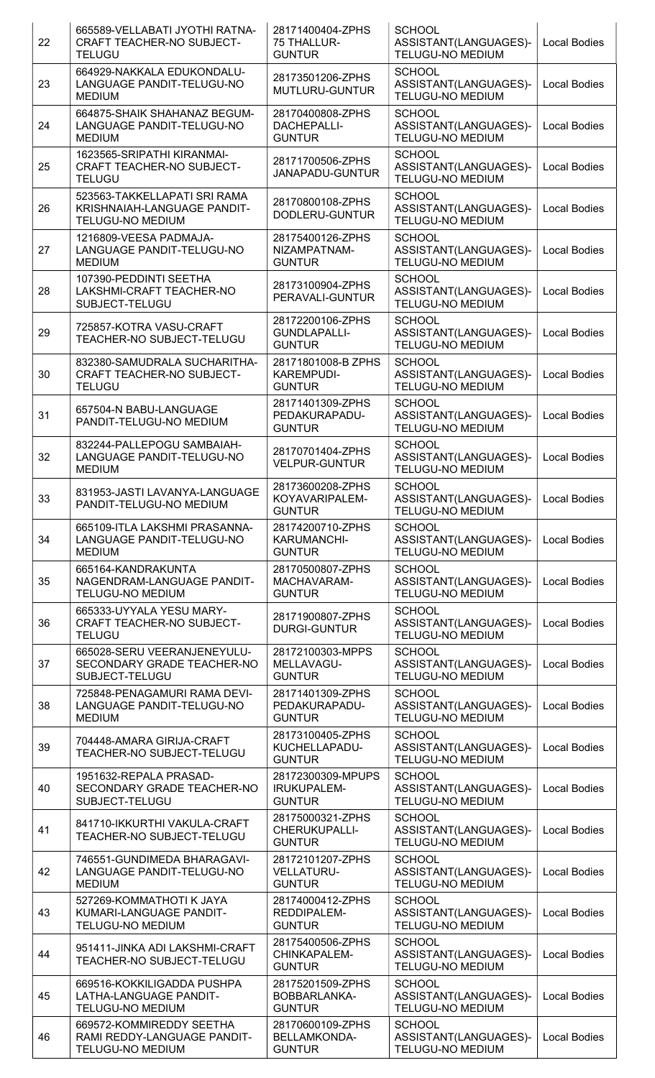| 22 | 665589-VELLABATI JYOTHI RATNA-<br><b>CRAFT TEACHER-NO SUBJECT-</b><br><b>TELUGU</b>    | 28171400404-ZPHS<br>75 THALLUR-<br><b>GUNTUR</b>          | <b>SCHOOL</b><br>ASSISTANT(LANGUAGES)-<br><b>TELUGU-NO MEDIUM</b> | <b>Local Bodies</b> |
|----|----------------------------------------------------------------------------------------|-----------------------------------------------------------|-------------------------------------------------------------------|---------------------|
| 23 | 664929-NAKKALA EDUKONDALU-<br>LANGUAGE PANDIT-TELUGU-NO<br><b>MEDIUM</b>               | 28173501206-ZPHS<br>MUTLURU-GUNTUR                        | <b>SCHOOL</b><br>ASSISTANT(LANGUAGES)-<br><b>TELUGU-NO MEDIUM</b> | <b>Local Bodies</b> |
| 24 | 664875-SHAIK SHAHANAZ BEGUM-<br>LANGUAGE PANDIT-TELUGU-NO<br><b>MEDIUM</b>             | 28170400808-ZPHS<br>DACHEPALLI-<br><b>GUNTUR</b>          | <b>SCHOOL</b><br>ASSISTANT(LANGUAGES)-<br><b>TELUGU-NO MEDIUM</b> | <b>Local Bodies</b> |
| 25 | 1623565-SRIPATHI KIRANMAI-<br><b>CRAFT TEACHER-NO SUBJECT-</b><br><b>TELUGU</b>        | 28171700506-ZPHS<br>JANAPADU-GUNTUR                       | <b>SCHOOL</b><br>ASSISTANT(LANGUAGES)-<br>TELUGU-NO MEDIUM        | <b>Local Bodies</b> |
| 26 | 523563-TAKKELLAPATI SRI RAMA<br>KRISHNAIAH-LANGUAGE PANDIT-<br><b>TELUGU-NO MEDIUM</b> | 28170800108-ZPHS<br>DODLERU-GUNTUR                        | <b>SCHOOL</b><br>ASSISTANT(LANGUAGES)-<br><b>TELUGU-NO MEDIUM</b> | <b>Local Bodies</b> |
| 27 | 1216809-VEESA PADMAJA-<br>LANGUAGE PANDIT-TELUGU-NO<br><b>MEDIUM</b>                   | 28175400126-ZPHS<br>NIZAMPATNAM-<br><b>GUNTUR</b>         | <b>SCHOOL</b><br>ASSISTANT(LANGUAGES)-<br><b>TELUGU-NO MEDIUM</b> | <b>Local Bodies</b> |
| 28 | 107390-PEDDINTI SEETHA<br>LAKSHMI-CRAFT TEACHER-NO<br>SUBJECT-TELUGU                   | 28173100904-ZPHS<br>PERAVALI-GUNTUR                       | <b>SCHOOL</b><br>ASSISTANT(LANGUAGES)-<br><b>TELUGU-NO MEDIUM</b> | <b>Local Bodies</b> |
| 29 | 725857-KOTRA VASU-CRAFT<br>TEACHER-NO SUBJECT-TELUGU                                   | 28172200106-ZPHS<br><b>GUNDLAPALLI-</b><br><b>GUNTUR</b>  | <b>SCHOOL</b><br>ASSISTANT(LANGUAGES)-<br><b>TELUGU-NO MEDIUM</b> | <b>Local Bodies</b> |
| 30 | 832380-SAMUDRALA SUCHARITHA-<br>CRAFT TEACHER-NO SUBJECT-<br><b>TELUGU</b>             | 28171801008-B ZPHS<br>KAREMPUDI-<br><b>GUNTUR</b>         | <b>SCHOOL</b><br>ASSISTANT(LANGUAGES)-<br><b>TELUGU-NO MEDIUM</b> | <b>Local Bodies</b> |
| 31 | 657504-N BABU-LANGUAGE<br>PANDIT-TELUGU-NO MEDIUM                                      | 28171401309-ZPHS<br>PEDAKURAPADU-<br><b>GUNTUR</b>        | <b>SCHOOL</b><br>ASSISTANT(LANGUAGES)-<br><b>TELUGU-NO MEDIUM</b> | <b>Local Bodies</b> |
| 32 | 832244-PALLEPOGU SAMBAIAH-<br>LANGUAGE PANDIT-TELUGU-NO<br><b>MEDIUM</b>               | 28170701404-ZPHS<br><b>VELPUR-GUNTUR</b>                  | <b>SCHOOL</b><br>ASSISTANT(LANGUAGES)-<br><b>TELUGU-NO MEDIUM</b> | <b>Local Bodies</b> |
| 33 | 831953-JASTI LAVANYA-LANGUAGE<br>PANDIT-TELUGU-NO MEDIUM                               | 28173600208-ZPHS<br>KOYAVARIPALEM-<br><b>GUNTUR</b>       | <b>SCHOOL</b><br>ASSISTANT(LANGUAGES)-<br><b>TELUGU-NO MEDIUM</b> | <b>Local Bodies</b> |
| 34 | 665109-ITLA LAKSHMI PRASANNA-<br>LANGUAGE PANDIT-TELUGU-NO<br><b>MEDIUM</b>            | 28174200710-ZPHS<br><b>KARUMANCHI-</b><br><b>GUNTUR</b>   | <b>SCHOOL</b><br>ASSISTANT(LANGUAGES)-<br><b>TELUGU-NO MEDIUM</b> | <b>Local Bodies</b> |
| 35 | 665164-KANDRAKUNTA<br>NAGENDRAM-LANGUAGE PANDIT-<br><b>TELUGU-NO MEDIUM</b>            | 28170500807-ZPHS<br>MACHAVARAM-<br><b>GUNTUR</b>          | <b>SCHOOL</b><br>ASSISTANT(LANGUAGES)-<br>TELUGU-NO MEDIUM        | <b>Local Bodies</b> |
| 36 | 665333-UYYALA YESU MARY-<br><b>CRAFT TEACHER-NO SUBJECT-</b><br><b>TELUGU</b>          | 28171900807-ZPHS<br><b>DURGI-GUNTUR</b>                   | <b>SCHOOL</b><br>ASSISTANT(LANGUAGES)-<br><b>TELUGU-NO MEDIUM</b> | <b>Local Bodies</b> |
| 37 | 665028-SERU VEERANJENEYULU-<br>SECONDARY GRADE TEACHER-NO<br>SUBJECT-TELUGU            | 28172100303-MPPS<br>MELLAVAGU-<br><b>GUNTUR</b>           | <b>SCHOOL</b><br>ASSISTANT(LANGUAGES)-<br>TELUGU-NO MEDIUM        | <b>Local Bodies</b> |
| 38 | 725848-PENAGAMURI RAMA DEVI-<br>LANGUAGE PANDIT-TELUGU-NO<br><b>MEDIUM</b>             | 28171401309-ZPHS<br>PEDAKURAPADU-<br><b>GUNTUR</b>        | <b>SCHOOL</b><br>ASSISTANT(LANGUAGES)-<br><b>TELUGU-NO MEDIUM</b> | <b>Local Bodies</b> |
| 39 | 704448-AMARA GIRIJA-CRAFT<br>TEACHER-NO SUBJECT-TELUGU                                 | 28173100405-ZPHS<br>KUCHELLAPADU-<br><b>GUNTUR</b>        | <b>SCHOOL</b><br>ASSISTANT(LANGUAGES)-<br><b>TELUGU-NO MEDIUM</b> | <b>Local Bodies</b> |
| 40 | 1951632-REPALA PRASAD-<br>SECONDARY GRADE TEACHER-NO<br>SUBJECT-TELUGU                 | 28172300309-MPUPS<br><b>IRUKUPALEM-</b><br><b>GUNTUR</b>  | <b>SCHOOL</b><br>ASSISTANT(LANGUAGES)-<br><b>TELUGU-NO MEDIUM</b> | <b>Local Bodies</b> |
| 41 | 841710-IKKURTHI VAKULA-CRAFT<br>TEACHER-NO SUBJECT-TELUGU                              | 28175000321-ZPHS<br><b>CHERUKUPALLI-</b><br><b>GUNTUR</b> | <b>SCHOOL</b><br>ASSISTANT(LANGUAGES)-<br><b>TELUGU-NO MEDIUM</b> | <b>Local Bodies</b> |
| 42 | 746551-GUNDIMEDA BHARAGAVI-<br>LANGUAGE PANDIT-TELUGU-NO<br><b>MEDIUM</b>              | 28172101207-ZPHS<br><b>VELLATURU-</b><br><b>GUNTUR</b>    | <b>SCHOOL</b><br>ASSISTANT(LANGUAGES)-<br><b>TELUGU-NO MEDIUM</b> | <b>Local Bodies</b> |
| 43 | 527269-KOMMATHOTI K JAYA<br>KUMARI-LANGUAGE PANDIT-<br><b>TELUGU-NO MEDIUM</b>         | 28174000412-ZPHS<br>REDDIPALEM-<br><b>GUNTUR</b>          | <b>SCHOOL</b><br>ASSISTANT(LANGUAGES)-<br><b>TELUGU-NO MEDIUM</b> | <b>Local Bodies</b> |
| 44 | 951411-JINKA ADI LAKSHMI-CRAFT<br>TEACHER-NO SUBJECT-TELUGU                            | 28175400506-ZPHS<br>CHINKAPALEM-<br><b>GUNTUR</b>         | <b>SCHOOL</b><br>ASSISTANT(LANGUAGES)-<br><b>TELUGU-NO MEDIUM</b> | <b>Local Bodies</b> |
| 45 | 669516-KOKKILIGADDA PUSHPA<br>LATHA-LANGUAGE PANDIT-<br><b>TELUGU-NO MEDIUM</b>        | 28175201509-ZPHS<br>BOBBARLANKA-<br><b>GUNTUR</b>         | <b>SCHOOL</b><br>ASSISTANT(LANGUAGES)-<br><b>TELUGU-NO MEDIUM</b> | <b>Local Bodies</b> |
| 46 | 669572-KOMMIREDDY SEETHA<br>RAMI REDDY-LANGUAGE PANDIT-<br>TELUGU-NO MEDIUM            | 28170600109-ZPHS<br>BELLAMKONDA-<br><b>GUNTUR</b>         | <b>SCHOOL</b><br>ASSISTANT(LANGUAGES)-<br>TELUGU-NO MEDIUM        | <b>Local Bodies</b> |